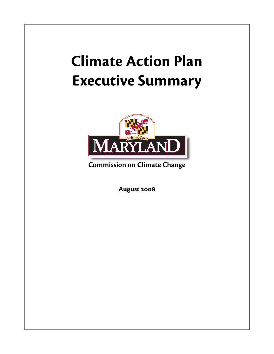# **Climate Action Plan Executive Summary**



**Commission on Climate Change**

**August 2008**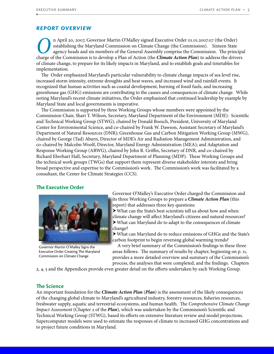## *Report Overview*

**O**n April 20, 2007, Governor Martin O'Malley signed Executive Order 01.01.2007.07 (the Order) establishing the Maryland Commission on Climate Change (the Commission). Sixteen State agency heads and six members of the Gene establishing the Maryland Commission on Climate Change (the Commission). Sixteen State agency heads and six members of the General Assembly comprise the Commission. The principal of climate change, to prepare for its likely impacts in Maryland, and to establish goals and timetables for implementation.

The Order emphasized Maryland's particular vulnerability to climate change impacts of sea level rise, increased storm intensity, extreme droughts and heat waves, and increased wind and rainfall events. It recognized that human activities such as coastal development, burning of fossil fuels, and increasing greenhouse gas (GHG) emissions are contributing to the causes and consequences of climate change. While noting Maryland's recent climate initiatives, the Order emphasized that continued leadership by example by Maryland State and local governments is imperative.

The Commission is supported by three Working Groups whose members were appointed by the Commission Chair, Shari T. Wilson, Secretary, Maryland Department of the Environment (MDE): Scientific and Technical Working Group (STWG), chaired by Donald Boesch, President, University of Maryland Center for Environmental Science, and co-chaired by Frank W. Dawson, Assistant Secretary of Maryland's Department of Natural Resources (DNR); Greenhouse Gas and Carbon Mitigation Working Group (MWG), chaired by George (Tad) Aburn, Director of MDE's Air and Radiation Management Administration, and co-chaired by Malcolm Woolf, Director, Maryland Energy Administration (MEA); and Adaptation and Response Working Group (ARWG), chaired by John R. Griffin, Secretary of DNR, and co-chaired by Richard Eberhart Hall, Secretary, Maryland Department of Planning (MDP). These Working Groups and the technical work groups (TWGs) that support them represent diverse stakeholder interests and bring broad perspective and expertise to the Commission's work. The Commission's work was facilitated by a consultant, the Center for Climate Strategies (CCS).

#### **The Executive Order**



Governor Martin O'Malley Signs the Executive Order Creating The Maryland Commission on Climate Change

Governor O'Malley's Executive Order charged the Commission and its three Working Groups to prepare a *Climate Action Plan* (this report) that addresses three key questions:

hWhat can the State's best scientists tell us about how and when climate change will affect Maryland's citizens and natural resources?  $\blacktriangleright$  What can Maryland do to adapt to the consequences of climate change?

hWhat can Maryland do to reduce emissions of GHGs and the State's carbon footprint to begin reversing global warming trends?

A very brief summary of the Commission's findings in these three areas follows. The summary of results by chapter, beginning on p. 11, provides a more detailed overview and summary of the Commission's process, the analyses that were completed, and the findings. Chapters

2, 4, 5 and the Appendices provide even greater detail on the efforts undertaken by each Working Group.

## **The Science**

An important foundation for the *Climate Action Plan* (*Plan*) is the assessment of the likely consequences of the changing global climate to Maryland's agricultural industry, forestry resources, fisheries resources, freshwater supply, aquatic and terrestrial ecosystems, and human health. The *Comprehensive Climate Change Impact Assessment* (Chapter 2 of the *Plan*), which was undertaken by the Commission's Scientific and Technical Working Group (STWG), based its efforts on extensive literature review and model projections. Supercomputer models were used to estimate the responses of climate to increased GHG concentrations and to project future conditions in Maryland.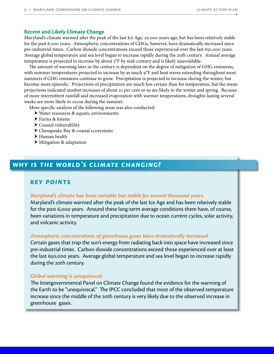# **Recent and Likely Climate Change**

Maryland's climate warmed after the peak of the last Ice Age, 20,000 years ago, but has been relatively stable for the past 6,000 years. Atmospheric concentrations of GHGs, however, have dramatically increased since pre-industrial times. Carbon dioxide concentrations exceed those experienced over the last 650,000 years. Average global temperature and sea level began to increase rapidly during the 20th century. Annual average temperature is projected to increase by about 3°F by mid-century and is likely unavoidable.

The amount of warming later in the century is dependent on the degree of mitigation of GHG emissions, with summer temperatures projected to increase by as much 9°F and heat waves extending throughout most summers if GHG emissions continue to grow. Precipitation is projected to increase during the winter, but become more episodic. Projections of precipitation are much less certain than for temperature, but the mean projections indicated modest increases of about 10 per cent or so are likely in the winter and spring. Because of more intermittent rainfall and increased evaporation with warmer temperatures, droughts lasting several weeks are more likely to occur during the summer.

More specific analysis of the following areas was also conducted:

- $\triangleright$  Water resources & aquatic environments
- $\blacktriangleright$  Farms & forests
- $\triangleright$  Coastal vulnerability
- ▶ Chesapeake Bay & coastal ecosystems
- $\blacktriangleright$  Human health
- $\triangleright$  Mitigation & adaptation

# *why is the world's climate changing?*

# *Key Points*

## *Maryland's climate has been variable but stable for several thousand years.*

Maryland's climate warmed after the peak of the last Ice Age and has been relatively stable for the past 6,000 years. Around these lang-term average conditions there have, of course, been variations in temperature and precipitation due to ocean current cycles, solar activity, and volcanic activity.

# *Atmospheric concentrations of greenhouse gases have dramatically increased.*

Certain gases that trap the sun's energy from radiating back into space have increased since pre-industrial times. Carbon dioxide concentrations exceed those experienced over at least the last 650,000 years. Average global temperature and sea level began to increase rapidly during the 20th century.

# *Global warming is unequivocal.*

The Intergovernmental Panel on Climate Change found the evidence for the warming of the Earth to be "unequivocal." The IPCC concluded that most of the observed temperature increase since the middle of the 20th century is very likely due to the observed increase in greenhouse gases.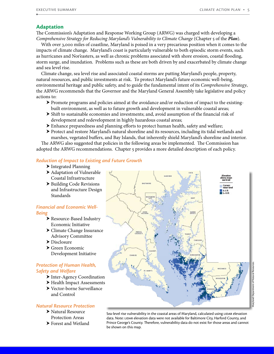## **Adaptation**

The Commission's Adaptation and Response Working Group (ARWG) was charged with developing a *Comprehensive Strategy for Reducing Maryland's Vulnerability to Climate Change* (Chapter 5 of the *Plan*).

With over 3,000 miles of coastline, Maryland is poised in a very precarious position when it comes to the impacts of climate change. Maryland's coast is particularly vulnerable to both episodic storm events, such as hurricanes and Nor'easters, as well as chronic problems associated with shore erosion, coastal flooding, storm surge, and inundation. Problems such as these are both driven by and exacerbated by climate change and sea level rise.

Climate change, sea level rise and associated coastal storms are putting Maryland's people, property, natural resources, and public investments at risk. To protect Maryland's future economic well-being, environmental heritage and public safety, and to guide the fundamental intent of its *Comprehensive Strategy*, the ARWG recommends that the Governor and the Maryland General Assembly take legislative and policy actions to:

- $\triangleright$  Promote programs and policies aimed at the avoidance and/or reduction of impact to the existingbuilt environment, as well as to future growth and development in vulnerable coastal areas;
- $\triangleright$  Shift to sustainable economies and investments; and, avoid assumption of the financial risk of development and redevelopment in highly hazardous coastal areas;
- $\blacktriangleright$  Enhance preparedness and planning efforts to protect human health, safety and welfare;
- ▶ Protect and restore Maryland's natural shoreline and its resources, including its tidal wetlands and marshes, vegetated buffers, and Bay Islands, that inherently shield Maryland's shoreline and interior.

The ARWG also suggested that policies in the following areas be implemented. The Commission has adopted the ARWG recommendations. Chapter 5 provides a more detailed description of each policy.

## *Reduction of Impact to Existing and Future Growth*

- > Integrated Planning
- ▶ Adaptation of Vulnerable Coastal Infrastructure
- ▶ Building Code Revisions and Infrastructure Design Standards

## *Financial and Economic Well-Being*

- ▶ Resource-Based Industry Economic Initiative
- $\blacktriangleright$  Climate Change Insurance Advisory Committee
- $\blacktriangleright$  Disclosure
- $\blacktriangleright$  Green Economic Development Initiative

# *Protection of Human Health, Safety and Welfare*

- Inter-Agency Coordination
- Health Impact Assessments
- ▶ Vector-borne Surveillance and Control

## *Natural Resource Protection*

- $\blacktriangleright$  Natural Resource Protection Areas
- $\blacktriangleright$  Forest and Wetland



Sea-level rise vulnerability in the coastal areas of Maryland, calculated using LIDAR elevation data. Note: lidar elevation data were not available for Baltimore City, Harford County, and Prince George's County. Therefore, vulnerability data do not exist for those areas and cannot be shown on this map.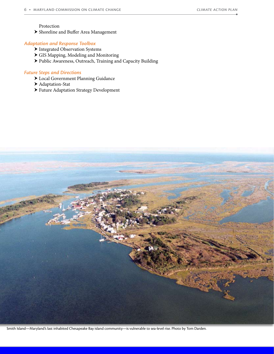#### Protection

▶ Shoreline and Buffer Area Management

#### *Adaptation and Response Toolbox*

- $\blacktriangleright$  Integrated Observation Systems
- h GIS Mapping, Modeling and Monitoring
- h Public Awareness, Outreach, Training and Capacity Building

#### *Future Steps and Directions*

- $\blacktriangleright$  Local Government Planning Guidance
- ▶ Adaptation-Stat
- ▶ Future Adaptation Strategy Development



Smith Island—Maryland's last inhabited Chesapeake Bay island community—is vulnerable to sea-level rise. Photo by Tom Darden.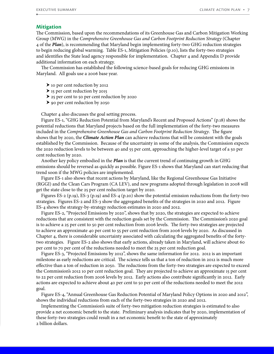#### **Mitigation**

The Commission, based upon the recommendations of its Greenhouse Gas and Carbon Mitigation Working Group (MWG) in the *Comprehensive Greenhouse Gas and Carbon Footprint Reduction Strategy* (Chapter 4 of the *Plan*), is recommending that Maryland begin implementing forty-two GHG reduction strategies to begin reducing global warming. Table ES-1, Mitigation Policies (p.10), lists the forty-two strategies and identifies the State lead agency responsible for implementation. Chapter 4 and Appendix D provide additional information on each strategy.

The Commission has established the following science-based goals for reducing GHG emissions in Maryland. All goals use a 2006 base year.

- $\blacktriangleright$  10 per cent reduction by 2012
- $\blacktriangleright$  15 per cent reduction by 2015
- h 25 per cent to 50 per cent reduction by 2020
- $\triangleright$  90 per cent reduction by 2050

Chapter 4 also discusses the goal setting process.

Figure ES-1, "GHG Reduction Potential from Maryland's Recent and Proposed Actions" (p.18) shows the potential reductions that Maryland projects based on the full implementation of the forty-two measures included in the *Comprehensive Greenhouse Gas and Carbon Footprint Reduction Strategy*. The figure shows that by 2020, the *Climate Action Plan* can achieve reductions that will be consistent with the goals established by the Commission. Because of the uncertainty in some of the analysis, the Commission expects the 2020 reduction levels to be between 40 and 55 per cent, approaching the higher-level target of a 50 per cent reduction by 2020.

Another key policy embodied in the *Plan* is that the current trend of continuing growth in GHG emissions should be reversed as quickly as possible. Figure ES-1 shows that Maryland can start reducing that trend soon if the MWG policies are implemented.

Figure ES-1 also shows that recent actions by Maryland, like the Regional Greenhouse Gas Initiative (RGGI) and the Clean Cars Program (CA LEV), and new programs adopted through legislation in 2008 will get the state close to the 25 per cent reduction target by 2020.

Figures ES-2 (p.19), ES-3 (p.19) and ES-4 (p.20) show the potential emission reductions from the forty-two strategies. Figures ES-2 and ES-3 show the aggregated benefits of the strategies in 2020 and 2012. Figure ES-4 shows the strategy-by-strategy reduction estimates in 2020 and 2012.

Figure ES-2, "Projected Emissions by 2020", shows that by 2020, the strategies are expected to achieve reductions that are consistent with the reduction goals set by the Commission. The Commission's 2020 goal is to achieve a 25 per cent to 50 per cent reduction from 2006 levels. The forty-two strategies are projected to achieve an approximate 40 per cent to 55 per cent reduction from 2006 levels by 2020. As discussed in Chapter 4, there is considerable uncertainty associated with calculating the aggregated benefits of the fortytwo strategies. Figure ES-2 also shows that early actions, already taken in Maryland, will achieve about 60 per cent to 70 per cent of the reductions needed to meet the 25 per cent reduction goal.

Figure ES-3, "Projected Emissions by 2012", shows the same information for 2012. 2012 is an important milestone as early reductions are critical. The science tells us that a ton of reduction in 2012 is much more effective than a ton of reduction in 2050. The reductions from the forty-two strategies are expected to exceed the Commission's 2012 10 per cent reduction goal. They are projected to achieve an approximate 15 per cent to 22 per cent reduction from 2006 levels by 2012. Early actions also contribute significantly in 2012. Early actions are expected to achieve about 40 per cent to 50 per cent of the reductions needed to meet the 2012 goal.

Figure ES-4, "Annual Greenhouse Gas Reduction Potential of Maryland Policy Options in 2020 and 2012", shows the individual reductions from each of the forty-two strategies in 2020 and 2012.

Implementing the Commission's suite of forty-two mitigation reduction strategies is estimated to also provide a net economic benefit to the state. Preliminary analysis indicates that by 2020, implementation of these forty-two strategies could result in a net economic benefit to the state of approximately 2 billion dollars.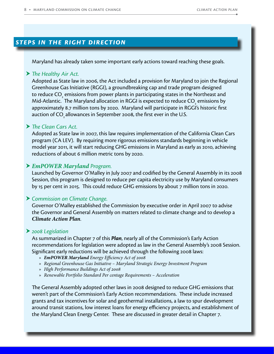# *steps in the right direction*

Maryland has already taken some important early actions toward reaching these goals.

# **▶ The Healthy Air Act.**

Adopted as State law in 2006, the Act included a provision for Maryland to join the Regional Greenhouse Gas Initiative (RGGI), a groundbreaking cap and trade program designed to reduce CO $\rm _{_2}$  emissions from power plants in participating states in the Northeast and Mid-Atlantic. The Maryland allocation in RGGI is expected to reduce CO $_{\tiny 2}^{\tiny 2}$  emissions by approximately 8.7 million tons by 2020. Maryland will participate in RGGI's historic first auction of CO<sub>2</sub> allowances in September 2008, the first ever in the U.S.

# ▶ *The Clean Cars Act.*

Adopted as State law in 2007, this law requires implementation of the California Clean Cars program (CA LEV). By requiring more rigorous emissions standards beginning in vehicle model year 2011, it will start reducing GHG emissions in Maryland as early as 2010, achieving reductions of about 6 million metric tons by 2020.

# h *EmPOWER Maryland Program.*

Launched by Governor O'Malley in July 2007 and codified by the General Assembly in its 2008 Session, this program is designed to reduce per capita electricity use by Maryland consumers by 15 per cent in 2015. This could reduce GHG emissions by about 7 million tons in 2020.

# h *Commission on Climate Change.*

Governor O'Malley established the Commission by executive order in April 2007 to advise the Governor and General Assembly on matters related to climate change and to develop a *Climate Action Plan*.

# h *2008 Legislation*

As summarized in Chapter 7 of this *Plan*, nearly all of the Commission's Early Action recommendations for legislation were adopted as law in the General Assembly's 2008 Session. Significant early reductions will be achieved through the following 2008 laws:

- » *EmPOWER Maryland Energy Efficiency Act of 2008*
- » *Regional Greenhouse Gas Initiative Maryland Strategic Energy Investment Program*
- » *High Performance Buildings Act of 2008*
- » *Renewable Portfolio Standard Per centage Requirements Acceleration*

The General Assembly adopted other laws in 2008 designed to reduce GHG emissions that weren't part of the Commission's Early Action recommendations. These include increased grants and tax incentives for solar and geothermal installations, a law to spur development around transit stations, low interest loans for energy efficiency projects, and establishment of the Maryland Clean Energy Center. These are discussed in greater detail in Chapter 7.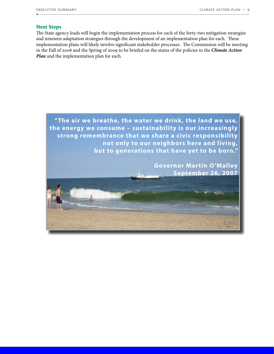## **Next Steps**

The State agency leads will begin the implementation process for each of the forty-two mitigation strategies and nineteen adaptation strategies through the development of an implementation plan for each. These implementation plans will likely involve significant stakeholder processes. The Commission will be meeting in the Fall of 2008 and the Spring of 2009 to be briefed on the status of the policies in the *Climate Action Plan* and the implementation plan for each.

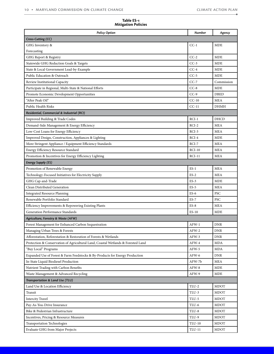۰

| Table ES-1                 |  |  |
|----------------------------|--|--|
| <b>Mitigation Policies</b> |  |  |

| <b>Policy Option</b>                                                             | <b>Number</b> | Agency      |  |
|----------------------------------------------------------------------------------|---------------|-------------|--|
| Cross-Cutting (CC)                                                               |               |             |  |
| GHG Inventory &                                                                  | $CC-1$        | MDE         |  |
| Forecasting                                                                      |               |             |  |
| GHG Report & Registry                                                            | $CC-2$        | <b>MDE</b>  |  |
| Statewide GHG Reduction Goals & Targets                                          | $CC-3$        | MDE         |  |
| State & Local Government Lead-by-Example                                         | $CC-4$        | MDE         |  |
| Public Education & Outreach                                                      | $CC-5$        | MDE         |  |
| Review Institutional Capacity                                                    | $CC-7$        | Commission  |  |
| Participate in Regional, Multi-State & National Efforts                          | $CC-8$        | MDE         |  |
| Promote Economic Development Opportunities                                       | $CC-9$        | <b>DBED</b> |  |
| "After Peak Oil"                                                                 | $CC-10$       | MEA         |  |
| Public Health Risks                                                              | $CC-11$       | DHMH        |  |
| Residential, Commercial & Industrial (RCI)                                       |               |             |  |
| Improved Building & Trade Codes                                                  | $RCI-1$       | DHCD        |  |
| Demand-Side Management & Energy Efficiency                                       | $RCI-2$       | MEA         |  |
| Low-Cost Loans for Energy Efficiency                                             | $RCI-3$       | MEA         |  |
| Improved Design, Construction, Appliances & Lighting                             | $RCI-4$       | MDE         |  |
| More Stringent Appliance / Equipment Efficiency Standards                        | $RCI-7$       | <b>MEA</b>  |  |
| Energy Efficiency Resource Standard                                              | $RCI-10$      | <b>MEA</b>  |  |
| Promotion & Incentives for Energy Efficiency Lighting                            | $RCI-11$      | <b>MEA</b>  |  |
| <b>Energy Supply (ES)</b>                                                        |               |             |  |
| Promotion of Renewable Energy                                                    | $ES-1$        | MEA         |  |
| Technology-Focused Initiatives for Electricity Supply                            | $ES-2$        | <b>MEA</b>  |  |
| GHG Cap-and-Trade                                                                | $ES-3$        | MDE         |  |
| Clean Distributed Generation                                                     | $ES-5$        | MEA         |  |
| <b>Integrated Resource Planning</b>                                              | $ES-6$        | <b>PSC</b>  |  |
| Renewable Portfolio Standard                                                     | $ES-7$        | PSC         |  |
| Efficiency Improvements & Repowering Existing Plants                             | $ES-8$        | MEA         |  |
| Generation Performance Standards                                                 | $ES-10$       | MDE         |  |
| Agriculture, Forestry & Waste (AFW)                                              |               |             |  |
| Forest Management for Enhanced Carbon Sequestration                              | $AFW-1$       | DNR         |  |
| Managing Urban Trees & Forests                                                   | AFW-2         | <b>DNR</b>  |  |
| Afforestation, Reforestation & Restoration of Forests & Wetlands                 | AFW-3         | DNR         |  |
| Protection & Conservation of Agricultural Land, Coastal Wetlands & Forested Land | AFW-4         | MDA         |  |
| "Buy Local" Programs                                                             | AFW-5         | MDA         |  |
| Expanded Use of Forest & Farm Feedstocks & By-Products for Energy Production     | AFW-6         | <b>DNR</b>  |  |
| In-State Liquid Biodiesel Production                                             | AFW-7b        | MEA         |  |
| Nutrient Trading with Carbon Benefits                                            | AFW-8         | MDE         |  |
| Waste Management & Advanced Recycling                                            | AFW-9         | MDE         |  |
| Transportation & Land Use (TLU)                                                  |               |             |  |
| Land Use & Location Efficiency                                                   | TLU-2         | MDOT        |  |
| Transit                                                                          | TLU-3         | MDOT        |  |
| <b>Intercity Travel</b>                                                          | TLU-5         | MDOT        |  |
| Pay-As-You-Drive Insurance                                                       | TLU-6         | MDOT        |  |
| Bike & Pedestrian Infrastructure                                                 | TLU-8         | MDOT        |  |
| Incentives, Pricing & Resource Measures                                          | TLU-9         | MDOT        |  |
| <b>Transportation Technologies</b>                                               | TLU-10        | MDOT        |  |
| Evaluate GHG from Major Projects                                                 | TLU-11        | MDOT        |  |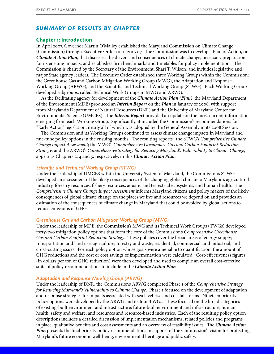## *Summary of Results by Chapter*

#### **Chapter 1: Introduction**

In April 2007, Governor Martin O'Malley established the Maryland Commission on Climate Change (Commission) through Executive Order 01.01.2007.07. The Commission was to develop a Plan of Action, or *Climate Action Plan*, that discusses the drivers and consequences of climate change, necessary preparations for its ensuing impacts, and establishes firm benchmarks and timetables for policy implementation. The Commission is chaired by the Secretary of the Environment, Shari T. Wilson, and includes legislative and major State agency leaders. The Executive Order established three Working Groups within the Commission: the Greenhouse Gas and Carbon Mitigation Working Group (MWG), the Adaptation and Response Working Group (ARWG), and the Scientific and Technical Working Group (STWG). Each Working Group developed subgroups, called Technical Work Groups in MWG and ARWG.

As the facilitating agency for development of the *Climate Action Plan (Plan)*, the Maryland Department of the Environment (MDE) produced an *Interim Report* on the *Plan* in January of 2008, with support from Maryland's Department of Natural Resources (DNR) and the University of Maryland Center for Environmental Science (UMCES). The *Interim Report* provided an update on the most current information emerging from each Working Group. Significantly, it included the Commission's recommendations for "Early Action" legislation, nearly all of which was adopted by the General Assembly in its 2008 Session.

The Commission and its Working Groups continued to assess climate change impacts in Maryland and fine-tune policy options in the ensuing months. The resulting reports: the STWG's *Comprehensive Climate Change Impact Assessment*; the MWG's *Comprehensive Greenhouse Gas and Carbon Footprint Reduction Strategy*; and the ARWG's *Comprehensive Strategy for Reducing Maryland's Vulnerability to Climate Change*, appear as Chapters 2, 4 and 5, respectively, in this *Climate Action Plan*.

#### *Scientific and Technical Working Group (STWG)*

Under the leadership of UMCES within the University System of Maryland, the Commission's STWG developed an assessment of the likely consequences of the changing global climate to Maryland's agricultural industry, forestry resources, fishery resources, aquatic and terrestrial ecosystems, and human health. The *Comprehensive Climate Change Impact Assessment* informs Maryland citizens and policy makers of the likely consequences of global climate change on the places we live and resources we depend on and provides an estimation of the consequences of climate change in Maryland that could be avoided by global actions to reduce emissions of GHGs.

#### *Greenhouse Gas and Carbon Mitigation Working Group (MWG)*

Under the leadership of MDE, the Commission's MWG and its Technical Work Groups (TWGs) developed forty-two mitigation policy options that form the core of the Commission's *Comprehensive Greenhouse Gas and Carbon Footprint Reduction Strategy*. These policies cover the broad areas of energy supply; transportation and land use; agriculture, forestry and waste; residential, commercial, and industrial; and cross-cutting issues. For each policy option whose goals were amenable to quantification, the amount of GHG reductions and the cost or cost savings of implementation were calculated. Cost-effectiveness figures (in dollars per ton of GHG reduction) were then developed and used to compile an overall cost-effective suite of policy recommendations to include in the *Climate Action Plan*.

#### *Adaptation and Response Working Group (ARWG)*

Under the leadership of DNR, the Commission's ARWG completed Phase 1 of the *Comprehensive Strategy for Reducing Maryland's Vulnerability to Climate Change*. Phase 1 focused on the development of adaptation and response strategies for impacts associated with sea level rise and coastal storms. Nineteen priority policy options were developed by the ARWG and its four TWGs. These focused on the broad categories of existing-built environment and infrastructure; future-built environment and infrastructure; human health, safety and welfare; and resources and resource-based industries. Each of the resulting policy option descriptions includes a detailed discussion of implementation mechanisms, related policies and programs in place, qualitative benefits and cost assessments and an overview of feasibility issues. The *Climate Action Plan* presents the final priority policy recommendations in support of the Commission's vision for protecting Maryland's future economic well-being, environmental heritage and public safety.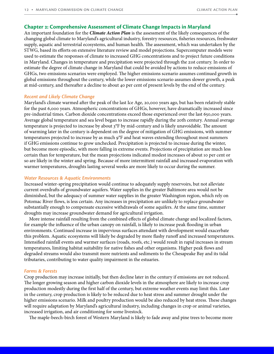#### **Chapter 2: Comprehensive Assessment of Climate Change Impacts in Maryland**

An important foundation for the *Climate Action Plan* is the assessment of the likely consequences of the changing global climate to Maryland's agricultural industry, forestry resources, fisheries resources, freshwater supply, aquatic and terrestrial ecosystems, and human health. The assessment, which was undertaken by the STWG, based its efforts on extensive literature review and model projections. Supercomputer models were used to estimate the responses of climate to increased GHG concentrations and to project future conditions in Maryland. Changes in temperature and precipitation were projected through the 21st century. In order to estimate the degree of climate change in Maryland that could be avoided by actions to reduce emissions of GHGs, two emissions scenarios were employed. The higher emissions scenario assumes continued growth in global emissions throughout the century, while the lower emissions scenario assumes slower growth, a peak at mid-century, and thereafter a decline to about 40 per cent of present levels by the end of the century.

#### *Recent and Likely Climate Change*

Maryland's climate warmed after the peak of the last Ice Age, 20,000 years ago, but has been relatively stable for the past 6,000 years. Atmospheric concentrations of GHGs, however, have dramatically increased since pre-industrial times. Carbon dioxide concentrations exceed those experienced over the last 650,000 years. Average global temperature and sea level began to increase rapidly during the 20th century. Annual average temperature is projected to increase by about 3°F by mid-century and is likely unavoidable. The amount of warming later in the century is dependent on the degree of mitigation of GHG emissions, with summer temperatures projected to increase by as much 9°F and heat waves extending throughout most summers if GHG emissions continue to grow unchecked. Precipitation is projected to increase during the winter, but become more episodic, with more falling in extreme events. Projections of precipitation are much less certain than for temperature, but the mean projections indicated modest increases of about 10 per cent or so are likely in the winter and spring. Because of more intermittent rainfall and increased evaporation with warmer temperatures, droughts lasting several weeks are more likely to occur during the summer.

#### *Water Resources & Aquatic Environments*

Increased winter-spring precipitation would continue to adequately supply reservoirs, but not alleviate current overdrafts of groundwater aquifers. Water supplies in the greater Baltimore area would not be diminished, but the adequacy of summer water supplies in the greater Washington region, which rely on Potomac River flows, is less certain. Any increases in precipitation are unlikely to replace groundwater substantially enough to compensate excessive withdrawals of some aquifers. At the same time, summer droughts may increase groundwater demand for agricultural irrigation.

More intense rainfall resulting from the combined effects of global climate change and localized factors, for example the influence of the urban canopy on rainfall, is likely to increase peak flooding in urban environments. Continued increase in impervious surfaces attendant with development would exacerbate this problem. Aquatic ecosystems will likely be degraded by more flashy runoff and increased temperatures. Intensified rainfall events and warmer surfaces (roads, roofs, etc.) would result in rapid increases in stream temperatures, limiting habitat suitability for native fishes and other organisms. Higher peak flows and degraded streams would also transmit more nutrients and sediments to the Chesapeake Bay and its tidal tributaries, contributing to water quality impairment in the estuaries.

#### *Farms & Forests*

Crop production may increase initially, but then decline later in the century if emissions are not reduced. The longer growing season and higher carbon dioxide levels in the atmosphere are likely to increase crop production modestly during the first half of the century, but extreme weather events may limit this. Later in the century, crop production is likely to be reduced due to heat stress and summer drought under the higher emissions scenario. Milk and poultry production would be also reduced by heat stress. These changes will require adaptation by Maryland's agricultural industry, including changes in crop or animal varieties, increased irrigation, and air conditioning for some livestock.

The maple-beech-birch forest of Western Maryland is likely to fade away and pine trees to become more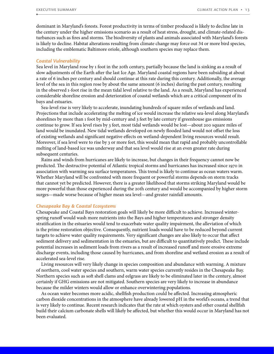dominant in Maryland's forests. Forest productivity in terms of timber produced is likely to decline late in the century under the higher emissions scenario as a result of heat stress, drought, and climate-related disturbances such as fires and storms. The biodiversity of plants and animals associated with Maryland's forests is likely to decline. Habitat alterations resulting from climate change may force out 34 or more bird species, including the emblematic Baltimore oriole, although southern species may replace them.

#### *Coastal Vulnerability*

Sea level in Maryland rose by 1 foot in the 20th century, partially because the land is sinking as a result of slow adjustments of the Earth after the last Ice Age. Maryland coastal regions have been subsiding at about a rate of 6 inches per century and should continue at this rate during this century. Additionally, the average level of the sea in this region rose by about the same amount (6 inches) during the past century, resulting in the observed 1-foot rise in the mean tidal level relative to the land. As a result, Maryland has experienced considerable shoreline erosion and deterioration of coastal wetlands which are a critical component of its bays and estuaries.

Sea-level rise is very likely to accelerate, inundating hundreds of square miles of wetlands and land. Projections that include accelerating the melting of ice would increase the relative sea-level along Maryland's shorelines by more than 1 foot by mid-century and 3 feet by late century if greenhouse gas emissions continue to grow. If sea level rises by 3 feet, most tidal wetlands would be lost—about 200 square miles of land would be inundated. New tidal wetlands developed on newly flooded land would not offset the loss of existing wetlands and significant negative effects on wetland-dependent living resources would result. Moreover, if sea level were to rise by 3 or more feet, this would mean that rapid and probably uncontrollable melting of land-based ice was underway and that sea level would rise at an even greater rate during subsequent centuries.

Rains and winds from hurricanes are likely to increase, but changes in their frequency cannot now be predicted. The destructive potential of Atlantic tropical storms and hurricanes has increased since 1970 in association with warming sea surface temperatures. This trend is likely to continue as ocean waters warm. Whether Maryland will be confronted with more frequent or powerful storms depends on storm tracks that cannot yet be predicted. However, there is a greater likelihood that storms striking Maryland would be more powerful than those experienced during the 20th century and would be accompanied by higher storm surges—made worse because of higher mean sea level—and greater rainfall amounts.

#### *Chesapeake Bay & Coastal Ecosystems*

Chesapeake and Coastal Bays restoration goals will likely be more difficult to achieve. Increased winterspring runoff would wash more nutrients into the Bays and higher temperatures and stronger density stratification in the estuaries would tend to exacerbate water quality impairment, the alleviation of which is the prime restoration objective. Consequently, nutrient loads would have to be reduced beyond current targets to achieve water quality requirements. Very significant changes are also likely to occur that affect sediment delivery and sedimentation in the estuaries, but are difficult to quantitatively predict. These include potential increases in sediment loads from rivers as a result of increased runoff and more erosive extreme discharge events, including those caused by hurricanes, and from shoreline and wetland erosion as a result of accelerated sea-level rise.

Living resources will very likely change in species composition and abundance with warming. A mixture of northern, cool water species and southern, warm water species currently resides in the Chesapeake Bay. Northern species such as soft shell clams and eelgrass are likely to be eliminated later in the century, almost certainly if GHG emissions are not mitigated. Southern species are very likely to increase in abundance because the milder winters would allow or enhance overwintering populations.

As ocean water becomes more acidic, shellfish production could be affected. Increasing atmospheric carbon dioxide concentrations in the atmosphere have already lowered pH in the world's oceans, a trend that is very likely to continue. Recent research indicates that the rate at which oysters and other coastal shellfish build their calcium carbonate shells will likely be affected, but whether this would occur in Maryland has not been evaluated.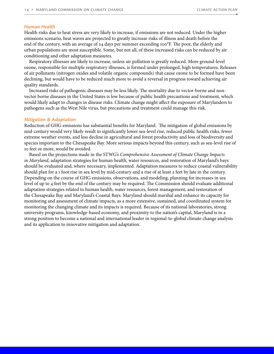#### *Human Health*

Health risks due to heat stress are very likely to increase, if emissions are not reduced. Under the higher emissions scenario, heat waves are projected to greatly increase risks of illness and death before the end of the century, with an average of 24 days per summer exceeding 100°F. The poor, the elderly and urban populations are most susceptible. Some, but not all, of these increased risks can be reduced by air conditioning and other adaptation measures.

Respiratory illnesses are likely to increase, unless air pollution is greatly reduced. More ground-level ozone, responsible for multiple respiratory illnesses, is formed under prolonged, high temperatures. Releases of air pollutants (nitrogen oxides and volatile organic compounds) that cause ozone to be formed have been declining, but would have to be reduced much more to avoid a reversal in progress toward achieving air quality standards.

Increased risks of pathogenic diseases may be less likely. The mortality due to vector-borne and nonvector borne diseases in the United States is low because of public health precautions and treatment, which would likely adapt to changes in disease risks. Climate change might affect the exposure of Marylanders to pathogens such as the West Nile virus, but precautions and treatment could manage this risk.

#### *Mitigation & Adaptation*

Reduction of GHG emissions has substantial benefits for Maryland. The mitigation of global emissions by mid-century would very likely result in significantly lower sea-level rise, reduced public health risks, fewer extreme weather events, and less decline in agricultural and forest productivity and loss of biodiversity and species important to the Chesapeake Bay. More serious impacts beyond this century, such as sea-level rise of 10 feet or more, would be avoided.

Based on the projections made in the STWG's *Comprehensive Assessment of Climate Change Impacts in Maryland*, adaptation strategies for human health, water resources, and restoration of Maryland's bays should be evaluated and, where necessary, implemented. Adaptation measures to reduce coastal vulnerability should plan for a 1 foot rise in sea level by mid-century and a rise of at least 2 feet by late in the century. Depending on the course of GHG emissions, observations, and modeling, planning for increases in sea level of up to 4 feet by the end of the century may be required. The Commission should evaluate additional adaptation strategies related to human health, water resources, forest management, and restoration of the Chesapeake Bay and Maryland's Coastal Bays. Maryland should marshal and enhance its capacity for monitoring and assessment of climate impacts, as a more extensive, sustained, and coordinated system for monitoring the changing climate and its impacts is required. Because of its national laboratories, strong university programs, knowledge-based economy, and proximity to the nation's capital, Maryland is in a strong position to become a national and international leader in regional-to-global climate change analysis and its application to innovative mitigation and adaptation.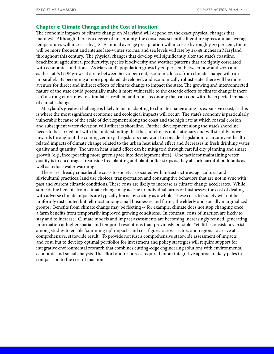## **Chapter 3: Climate Change and the Cost of Inaction**

The economic impacts of climate change on Maryland will depend on the exact physical changes that manifest. Although there is a degree of uncertainty, the consensus scientific literature agrees annual average temperatures will increase by 3-8° F, annual average precipitation will increase by roughly 20 per cent, there will be more frequent and intense late-winter storms, and sea levels will rise by 24-48 inches in Maryland throughout this century. The physical changes that develop will significantly alter the state's coastline, beachfront, agricultural productivity, species biodiversity and weather patterns that are tightly correlated with economic conditions. As Maryland's population grows by 20 per cent between now and 2020 and as the state's GDP grows at a rate between 60-70 per cent, economic losses from climate change will run in parallel. By becoming a more populated, developed, and economically robust state, there will be more avenues for direct and indirect effects of climate change to impact the state. The growing and interconnected nature of the state could potentially make it more vulnerable to the cascade effects of climate change if there isn't a strong effort now to stimulate a resilient and robust economy that can cope with the expected impacts of climate change.

Maryland's greatest challenge is likely to be in adapting to climate change along its expansive coast, as this is where the most significant economic and ecological impacts will occur. The state's economy is particularly vulnerable because of the scale of development along the coast and the high rate at which coastal erosion and subsequent water elevation will afflict its shoreline. Further development along the state's shoreline needs to be carried out with the understanding that the shoreline is not stationary and will steadily move inwards throughout the coming century. Legislators may want to consider legislation to circumvent health related impacts of climate change related to the urban heat island effect and decreases in fresh drinking water quality and quantity. The urban heat island effect can be mitigated through careful city planning and smart growth (e.g., incorporating more green space into development sites). One tactic for maintaining water quality is to encourage streamside tree planting and plant buffer strips as they absorb harmful pollutants as well as reduce water warming.

There are already considerable costs to society associated with infrastructures, agricultural and silvicultural practices, land use choices, transportation and consumptive behaviors that are not in sync with past and current climatic conditions. These costs are likely to increase as climate change accelerates. While some of the benefits from climate change may accrue to individual farms or businesses, the cost of dealing with adverse climate impacts are typically borne by society as a whole. These costs to society will not be uniformly distributed but felt most among small businesses and farms, the elderly and socially marginalized groups. Benefits from climate change may be fleeting -- for example, climate does not stop changing once a farm benefits from temporarily improved growing conditions. In contrast, costs of inaction are likely to stay and to increase. Climate models and impact assessments are becoming increasingly refined, generating information at higher spatial and temporal resolutions than previously possible. Yet, little consistency exists among studies to enable "summing up" impacts and cost figures across sectors and regions to arrive at a comprehensive, statewide result. To provide not just a comprehensive statewide assessment of impacts and cost, but to develop optimal portfolios for investment and policy strategies will require support for integrative environmental research that combines cutting-edge engineering solutions with environmental, economic and social analysis. The effort and resources required for an integrative approach likely pales in comparison to the cost of inaction.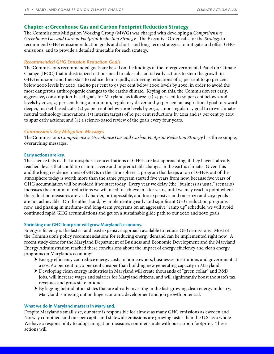## **Chapter 4: Greenhouse Gas and Carbon Footprint Reduction Strategy**

The Commission's Mitigation Working Group (MWG) was charged with developing a *Comprehensive Greenhouse Gas and Carbon Footprint Reduction Strategy*. The Executive Order calls for the *Strategy* to recommend GHG emission reduction goals and short- and long-term strategies to mitigate and offset GHG emissions, and to provide a detailed timetable for each strategy.

## *Recommended GHG Emission Reduction Goals*

The Commission's recommended goals are based on the findings of the Intergovernmental Panel on Climate Change (IPCC) that industrialized nations need to take substantial early actions to stem the growth in GHG emissions and then start to reduce them rapidly, achieving reductions of 25 per cent to 40 per cent below 2000 levels by 2020, and 80 per cent to 95 per cent below 2000 levels by 2050, in order to avoid the most dangerous anthropogenic changes to the earth's climate. Keying on this, the Commission set early, aggressive, consumption-based goals for Maryland, as follows: (1) 25 per cent to 50 per cent below 2006 levels by 2020, 25 per cent being a minimum, regulatory driver and 50 per cent an aspirational goal to reward deeper, market-based cuts; (2) 90 per cent below 2006 levels by 2050, a non-regulatory goal to drive climateneutral technology innovations; (3) interim targets of 10 per cent reductions by 2012 and 15 per cent by 2015 to spur early actions; and (4) a science-based review of the goals every four years.

#### *Commission's Key Mitigation Messages*

The Commission's *Comprehensive Greenhouse Gas and Carbon Footprint Reduction Strategy* has three simple, overarching messages:

#### **Early actions are key.**

The science tells us that atmospheric concentrations of GHGs are fast approaching, if they haven't already reached, levels that could tip us into severe and unpredictable changes in the earth's climate. Given this and the long residence times of GHGs in the atmosphere, a program that keeps a ton of GHGs out of the atmosphere today is worth more than the same program started five years from now, because five years of GHG accumulation will be avoided if we start today. Every year we delay (the "business as usual" scenario) increases the amount of reductions we will need to achieve in later years, until we may reach a point where the reduction measures are vastly harder, or impossible, and too expensive, and our 2020 and 2050 goals are not achievable. On the other hand, by implementing early and significant GHG reduction programs now, and phasing in medium- and long-term programs on an aggressive "ramp up" schedule, we will avoid continued rapid GHG accumulations and get on a sustainable glide path to our 2020 and 2050 goals.

#### **Shrinking our GHG footprint will grow Maryland's economy.**

Energy efficiency is the fastest and least expensive approach available to reduce GHG emissions. Most of the Commission's policy recommendations for reducing energy demand can be implemented right now. A recent study done for the Maryland Department of Business and Economic Development and the Maryland Energy Administration reached these conclusions about the impact of energy efficiency and clean energy programs on Maryland's economy:

- h Energy efficiency can reduce energy costs to homeowners, businesses, institutions and government at a cost 60 per cent to 70 per cent cheaper than building new generating capacity in Maryland.
- $\triangleright$  Developing clean energy industries in Maryland will create thousands of "green collar" and R&D jobs, will increase wages and salaries for Maryland citizens, and will significantly boost the state's tax revenues and gross state product.
- $\triangleright$  By lagging behind other states that are already investing in the fast-growing clean energy industry, Maryland is missing out on huge economic development and job growth potential.

#### **What we do in Maryland matters in Maryland.**

Despite Maryland's small size, our state is responsible for almost as many GHG emissions as Sweden and Norway combined, and our per capita and statewide emissions are growing faster than the U.S. as a whole. We have a responsibility to adopt mitigation measures commensurate with our carbon footprint. These actions will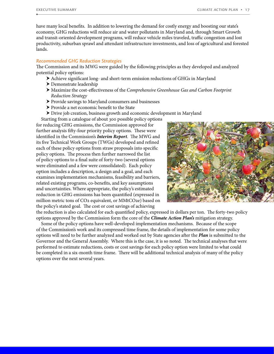have many local benefits. In addition to lowering the demand for costly energy and boosting our state's economy, GHG reductions will reduce air and water pollutants in Maryland and, through Smart Growth and transit-oriented development programs, will reduce vehicle miles traveled, traffic congestion and lost productivity, suburban sprawl and attendant infrastructure investments, and loss of agricultural and forested lands.

#### *Recommended GHG Reduction Strategies*

The Commission and its MWG were guided by the following principles as they developed and analyzed potential policy options:

- h Achieve significant long- and short-term emission reductions of GHGs in Maryland
- $\blacktriangleright$  Demonstrate leadership
- h Maximize the cost-effectiveness of the *Comprehensive Greenhouse Gas and Carbon Footprint Reduction Strategy*
- ▶ Provide savings to Maryland consumers and businesses
- h Provide a net economic benefit to the State
- h Drive job creation, business growth and economic development in Maryland

Starting from a catalogue of about 300 possible policy options for reducing GHG emissions, the Commission approved for further analysis fifty-four priority policy options. These were identified in the Commission's *Interim Report*. The MWG and its five Technical Work Groups (TWGs) developed and refined each of these policy options from straw proposals into specific policy options. The process then further narrowed the list of policy options to a final suite of forty-two (several options were eliminated and a few were consolidated). Each policy option includes a description, a design and a goal, and each examines implementation mechanisms, feasibility and barriers, related existing programs, co-benefits, and key assumptions and uncertainties. Where appropriate, the policy's estimated reduction in GHG emissions has been quantified (expressed in million metric tons of CO2 equivalent, or MMtCO2e) based on the policy's stated goal. The cost or cost savings of achieving



the reduction is also calculated for each quantified policy, expressed in dollars per ton. The forty-two policy options approved by the Commission form the core of the *Climate Action Plan's* mitigation strategy.

Some of the policy options have well-developed implementation mechanisms. Because of the scope of the Commission's work and its compressed time frame, the details of implementation for some policy options will need to be further analyzed and worked out by State agencies after the *Plan* is submitted to the Governor and the General Assembly. Where this is the case, it is so noted. The technical analyses that were performed to estimate reductions, costs or cost savings for each policy option were limited to what could be completed in a six-month time frame. There will be additional technical analysis of many of the policy options over the next several years.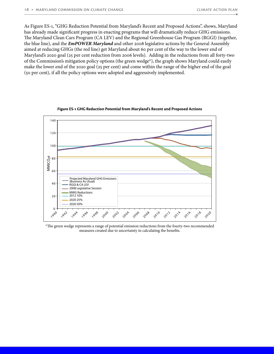As Figure ES-1, "GHG Reduction Potential from Maryland's Recent and Proposed Actions", shows, Maryland has already made significant progress in enacting programs that will dramatically reduce GHG emissions. The Maryland Clean Cars Program (CA LEV) and the Regional Greenhouse Gas Program (RGGI) (together, the blue line), and the *EmPOWER Maryland* and other 2008 legislative actions by the General Assembly aimed at reducing GHGs (the red line) get Maryland about 60 per cent of the way to the lower end of Maryland's 2020 goal (25 per cent reduction from 2006 levels). Adding in the reductions from all forty-two of the Commission's mitigation policy options (the green wedge\*), the graph shows Maryland could easily make the lower end of the 2020 goal (25 per cent) and come within the range of the higher end of the goal (50 per cent), if all the policy options were adopted and aggressively implemented.



**Figure ES-1 GHG Reduction Potential from Maryland's Recent and Proposed Actions**

\*The green wedge represents a range of potential emission reductions from the fourty-two recommended measures created due to uncertainty in calculating the benefits.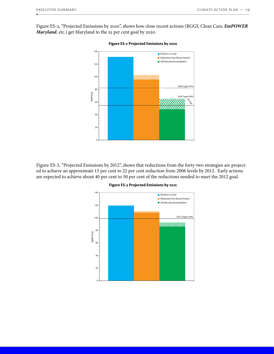Figure ES-2, "Projected Emissions by 2020", shows how close recent actions (RGGI, Clean Cars, *EmPOWER Maryland*, etc.) get Maryland to the 25 per cent goal by 2020.



Figure ES-3, "Projected Emissions by 2012", shows that reductions from the forty-two strategies are projected to achieve an approximate 15 per cent to 22 per cent reduction from 2006 levels by 2012. Early actions are expected to achieve about 40 per cent to 50 per cent of the reductions needed to meet the 2012 goal.



**Figure ES-3 Projected Emissions by 2012**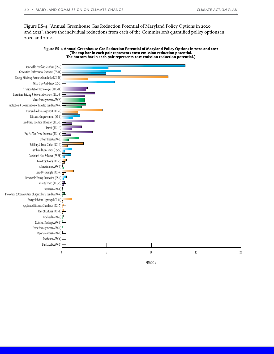Figure ES-4, "Annual Greenhouse Gas Reduction Potential of Maryland Policy Options in 2020 and 2012", shows the individual reductions from each of the Commission's quantified policy options in 2020 and 2012.

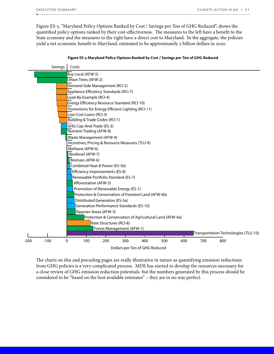Figure ES-5, "Maryland Policy Options Ranked by Cost / Savings per Ton of GHG Reduced", shows the quantified policy options ranked by their cost-effectiveness. The measures to the left have a benefit to the State economy and the measures to the right have a direct cost to Maryland. In the aggregate, the policies yield a net economic benefit to Maryland, estimated to be approximately 2 billion dollars in 2020.

| Savings          | Costs                                                     |
|------------------|-----------------------------------------------------------|
|                  | Buy Local (AFW-5)                                         |
|                  | Urban Trees (AFW-2)                                       |
|                  | Demand-Side Management (RCI-2)                            |
|                  | Appliance Efficiency Standards (RCI-7)                    |
|                  | Lead-By-Example (RCI-4)                                   |
|                  | Energy Efficiency Resource Standard (RCI-10)              |
|                  | Promotions for Energy Efficient Lighting (RCI-11)         |
|                  | Low-Cost Loans (RCI-3)                                    |
|                  | Building & Trade Codes (RCI-1)                            |
|                  | GHG Cap-And-Trade (ES-3)                                  |
|                  | Nutrient Trading (AFW-8)                                  |
|                  | Waste Management (AFW-9)                                  |
|                  | Incentives, Pricing & Resource Measures (TLU-9)           |
|                  | Methane (AFW-6)                                           |
|                  | Biodiesel (AFW-7)                                         |
|                  | Biomass (AFW-6)                                           |
|                  | Combined Heat & Power (ES-5b)                             |
|                  | Efficiency Improvements (ES-8)                            |
|                  | Renewable Portfolio Standard (ES-7)                       |
|                  | Afforestation (AFW-3)                                     |
|                  | Promotion of Renewable Energy (ES-1)                      |
|                  | Protection & Conservation of Forested Land (AFW-4b)       |
|                  | Distributed Generation (ES-5a)                            |
|                  | Generation Performance Standards (ES-10)                  |
|                  | Riparian Areas (AFW-3)                                    |
|                  | Protection & Conservation of Agricultural Land (AFW-4a)   |
|                  | Rate Structures (RCI-8)                                   |
|                  | Forest Management (AFW-1)                                 |
|                  | Transportation Technologies (TLU-10)                      |
| $-200$<br>$-100$ | 300<br>0<br>100<br>200<br>400<br>500<br>600<br>700<br>800 |
|                  | Dollars per Ton of GHG Reduced                            |

#### **Figure ES-5 Maryland Policy Options Ranked by Cost / Savings per Ton of GHG Reduced**

The charts on this and preceding pages are really illustrative in nature as quantifying emission reductions from GHG policies is a very complicated process. MDE has started to develop the resources necessary for a close review of GHG emission reduction potentials but the numbers generated by this process should be considered to be "based on the best available estimates" – they are in no way perfect.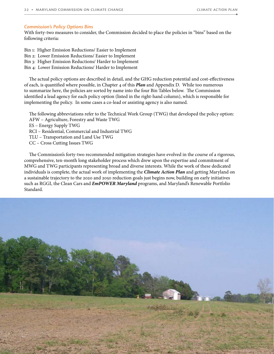#### *Commission's Policy Options Bins*

With forty-two measures to consider, the Commission decided to place the policies in "bins" based on the following criteria:

Bin 1: Higher Emission Reductions/ Easier to Implement Bin 2: Lower Emission Reductions/ Easier to Implement Bin 3: Higher Emission Reductions/ Harder to Implement

Bin 4: Lower Emission Reductions/ Harder to Implement

The actual policy options are described in detail, and the GHG reduction potential and cost-effectiveness of each, is quantified where possible, in Chapter 4 of this *Plan* and Appendix D. While too numerous to summarize here, the policies are sorted by name into the four Bin Tables below. The Commission identified a lead agency for each policy option (listed in the right-hand column), which is responsible for implementing the policy. In some cases a co-lead or assisting agency is also named.

The following abbreviations refer to the Technical Work Group (TWG) that developed the policy option: AFW – Agriculture, Forestry and Waste TWG ES – Energy Supply TWG RCI – Residential, Commercial and Industrial TWG TLU – Transportation and Land Use TWG CC – Cross Cutting Issues TWG

The Commission's forty-two recommended mitigation strategies have evolved in the course of a rigorous, comprehensive, ten-month long stakeholder process which drew upon the expertise and commitment of MWG and TWG participants representing broad and diverse interests. While the work of these dedicated individuals is complete, the actual work of implementing the *Climate Action Plan* and getting Maryland on a sustainable trajectory to the 2020 and 2050 reduction goals just begins now, building on early initiatives such as RGGI, the Clean Cars and *EmPOWER Maryland* programs, and Maryland's Renewable Portfolio Standard.

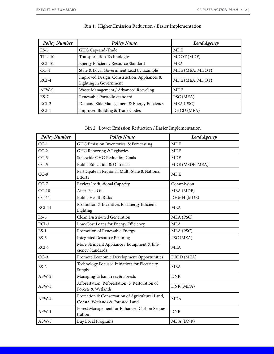| <b>Policy Number</b> | <b>Policy Name</b>                                                    | Lead Agency     |
|----------------------|-----------------------------------------------------------------------|-----------------|
| $ES-3$               | GHG Cap-and-Trade                                                     | <b>MDE</b>      |
| <b>TLU-10</b>        | <b>Transportation Technologies</b>                                    | MDOT (MDE)      |
| $RCI-10$             | Energy Efficiency Resource Standard                                   | <b>MEA</b>      |
| $CC-4$               | State & Local Government Lead by Example                              | MDE (MEA, MDOT) |
| $RCI-4$              | Improved Design, Construction, Appliances &<br>Lighting in Government | MDE (MEA, MDOT) |
| AFW-9                | Waste Management / Advanced Recycling                                 | <b>MDE</b>      |
| $ES-7$               | Renewable Portfolio Standard                                          | PSC (MEA)       |
| $RCI-2$              | Demand Side Management & Energy Efficiency                            | MEA (PSC)       |
| $RCI-1$              | Improved Building & Trade Codes                                       | DHCD (MEA)      |

# Bin 1: Higher Emission Reduction / Easier Implementation

Bin 2: Lower Emission Reduction / Easier Implementation

| <b>Policy Number</b> | <b>Policy Name</b>                                                                  | Lead Agency     |
|----------------------|-------------------------------------------------------------------------------------|-----------------|
| $CC-1$               | GHG Emission Inventories & Forecasting                                              | <b>MDE</b>      |
| $CC-2$               | GHG Reporting & Registries                                                          | <b>MDE</b>      |
| $CC-3$               | <b>Statewide GHG Reduction Goals</b>                                                | <b>MDE</b>      |
| $CC-5$               | Public Education & Outreach                                                         | MDE (MSDE, MEA) |
| $CC-8$               | Participate in Regional, Multi-State & National<br>Efforts                          | <b>MDE</b>      |
| $CC-7$               | Review Institutional Capacity                                                       | Commission      |
| $CC-10$              | After Peak Oil                                                                      | MEA (MDE)       |
| $CC-11$              | Public Health Risks                                                                 | DHMH (MDE)      |
| $RCI-11$             | Promotion & Incentives for Energy Efficient<br>Lighting                             | <b>MEA</b>      |
| $ES-5$               | Clean Distributed Generation                                                        | MEA (PSC)       |
| $RCI-3$              | Low-Cost Loans for Energy Efficiency                                                | <b>MEA</b>      |
| $ES-1$               | Promotion of Renewable Energy                                                       | MEA (PSC)       |
| $ES-6$               | <b>Integrated Resource Planning</b>                                                 | PSC (MEA)       |
| $RCI-7$              | More Stringent Appliance / Equipment & Effi-<br>ciency Standards                    | <b>MEA</b>      |
| $CC-9$               | Promote Economic Development Opportunities                                          | DBED (MEA)      |
| $ES-2$               | Technology Focused Initiatives for Electricity<br>Supply                            | <b>MEA</b>      |
| $AFW-2$              | Managing Urban Trees & Forests                                                      | <b>DNR</b>      |
| AFW-3                | Afforestation, Reforestation, & Restoration of<br>Forests & Wetlands                | DNR (MDA)       |
| $AFW-4$              | Protection & Conservation of Agricultural Land,<br>Coastal Wetlands & Forested Land | <b>MDA</b>      |
| $AFW-1$              | Forest Management for Enhanced Carbon Seques-<br>tration                            | <b>DNR</b>      |
| AFW-5                | <b>Buy Local Programs</b>                                                           | MDA (DNR)       |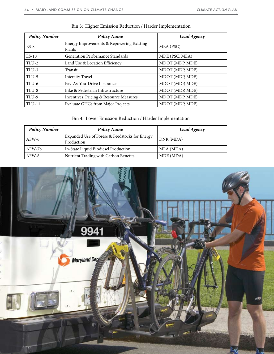| <b>Policy Number</b> | <b>Policy Name</b>                                  | Lead Agency     |
|----------------------|-----------------------------------------------------|-----------------|
| $ES-8$               | Energy Improvements & Repowering Existing<br>Plants | MEA (PSC)       |
| $ES-10$              | <b>Generation Performance Standards</b>             | MDE (PSC, MEA)  |
| TLU-2                | Land Use & Location Efficiency                      | MDOT (MDP, MDE) |
| TLU-3                | Transit                                             | MDOT (MDP, MDE) |
| TLU-5                | <b>Intercity Travel</b>                             | MDOT (MDP, MDE) |
| TLU-6                | Pay-As-You-Drive Insurance                          | MDOT (MDP, MDE) |
| TLU-8                | Bike & Pedestrian Infrastructure                    | MDOT (MDP, MDE) |
| TLU-9                | Incentives, Pricing & Resource Measures             | MDOT (MDP, MDE) |
| <b>TLU-11</b>        | Evaluate GHGs from Major Projects                   | MDOT (MDP, MDE) |

# Bin 3: Higher Emission Reduction / Harder Implementation

# Bin 4: Lower Emission Reduction / Harder Implementation

| <b>Policy Number</b> | <b>Policy Name</b>                                           | Lead Agency |
|----------------------|--------------------------------------------------------------|-------------|
| $AFW-6$              | Expanded Use of Forese & Feedstocks for Energy<br>Production | DNR (MDA)   |
| AFW-7b               | In-State Liquid Biodiesel Production                         | MEA (MDA)   |
| $AFW-8$              | Nutrient Trading with Carbon Benefits                        | MDE (MDA)   |

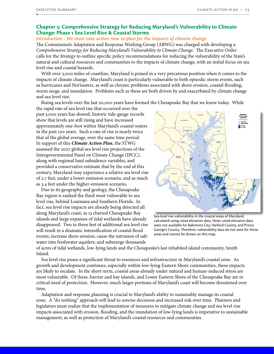## **Chapter 5: Comprehensive Strategy for Reducing Maryland's Vulnerability to Climate Change: Phase 1 Sea Level Rise & Coastal Storms**

#### *Introduction - We must take action now to plan for the impacts of climate change*

The Commission's Adaptation and Response Working Group (ARWG) was charged with developing a *Comprehensive Strategy for Reducing Maryland's Vulnerability to Climate Change*. The Executive Order calls for the *Strategy* to outline specific policy recommendations for reducing the vulnerability of the State's natural and cultural resources and communities to the impacts of climate change, with an initial focus on sea level rise and coastal hazards.

With over 3,000 miles of coastline, Maryland is poised in a very precarious position when it comes to the impacts of climate change. Maryland's coast is particularly vulnerable to both episodic storm events, such as hurricanes and Nor'easters, as well as chronic problems associated with shore erosion, coastal flooding, storm surge, and inundation. Problems such as these are both driven by and exacerbated by climate change and sea level rise.

Rising sea levels over the last 20,000 years have formed the Chesapeake Bay that we know today. While

the rapid rate of sea level rise that occurred over the past 5,000 years has slowed, historic tide-gauge records show that levels are still rising and have increased approximately one-foot within Maryland's coastal waters in the past 100 years. Such a rate of rise is nearly twice that of the global average, over the same time period. In support of this *Climate Action Plan*, the STWG assessed the 2007 global sea level rise projections of the Intergovernmental Panel on Climate Change (IPCC), along with regional land subsidence variables, and provided a conservative estimate that by the end of this century, Maryland may experience a relative sea level rise of 2.7 feet, under a lower-emission scenario, and as much as 3.4 feet under the higher-emission scenario,

Due to its geography and geology, the Chesapeake Bay region is ranked the third most vulnerable to sea level rise, behind Louisiana and Southern Florida. In fact, sea level rise impacts are already being detected all along Maryland's coast, as 13 charted Chesapeake Bay islands and large expanses of tidal wetlands have already disappeared. Two to three feet of additional sea level rise will result in a dramatic intensification of coastal flood events; increase shore erosion; cause the intrusion of saltwater into freshwater aquifers; and submerge thousands



Sea-level rise vulnerability in the coastal areas of Maryland, calculated using LIDAR elevation data. Note: LIDAR elevation data were not available for Baltimore City, Harford County, and Prince George's County. Therefore, vulnerability data do not exist for those areas and cannot be shown on this map.

of acres of tidal wetlands, low-lying lands and the Chesapeake's last inhabited island community, Smith Island.

Sea level rise poses a significant threat to resources and infrastructure in Maryland's coastal zone. As growth and development continues, especially within low-lying Eastern Shore communities, these impacts are likely to escalate. In the short-term, coastal areas already under natural and human-induced stress are most vulnerable. Of these, barrier and bay islands, and Lower Eastern Shore of the Chesapeake Bay are in critical need of protection. However, much larger portions of Maryland's coast will become threatened over time.

Adaptation and response planning is crucial to Maryland's ability to sustainably manage its coastal zone. A "do nothing" approach will lead to unwise decisions and increased risk over time. Planners and legislators must realize that the implementation of measures to mitigate climate change and sea level rise impacts associated with erosion, flooding, and the inundation of low-lying lands is imperative to sustainable management, as well as protection of Maryland's coastal resources and communities.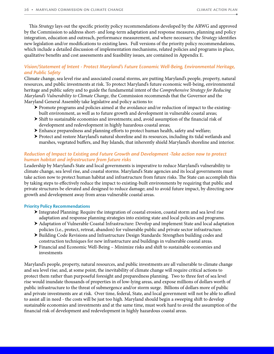This *Strategy* lays out the specific priority policy recommendations developed by the ARWG and approved by the Commission to address short- and long-term adaptation and response measures, planning and policy integration, education and outreach, performance measurement, and where necessary, the *Strategy* identifies new legislation and/or modifications to existing laws. Full versions of the priority policy recommendations, which include a detailed discussion of implementation mechanisms, related policies and programs in place, qualitative benefits and cost assessments and feasibility issues, are contained in Appendix E.

## *Vision/Statement of Intent - Protect Maryland's Future Economic Well-Being, Environmental Heritage, and Public Safety*

Climate change, sea level rise and associated coastal storms, are putting Maryland's people, property, natural resources, and public investments at risk. To protect Maryland's future economic well-being, environmental heritage and public safety and to guide the fundamental intent of the *Comprehensive Strategy for Reducing Maryland's Vulnerability to Climate Change*, the Commission recommends that the Governor and the Maryland General Assembly take legislative and policy actions to:

- $\triangleright$  Promote programs and policies aimed at the avoidance and/or reduction of impact to the existingbuilt environment, as well as to future growth and development in vulnerable coastal areas;
- $\triangleright$  Shift to sustainable economies and investments; and, avoid assumption of the financial risk of development and redevelopment in highly hazardous coastal areas;
- $\triangleright$  Enhance preparedness and planning efforts to protect human health, safety and welfare;
- $\triangleright$  Protect and restore Maryland's natural shoreline and its resources, including its tidal wetlands and marshes, vegetated buffers, and Bay Islands, that inherently shield Maryland's shoreline and interior.

## *Reduction of Impact to Existing and Future Growth and Development -Take action now to protect human habitat and infrastructure from future risks*

Leadership by Maryland's State and local governments is imperative to reduce Maryland's vulnerability to climate change, sea level rise, and coastal storms. Maryland's State agencies and its local governments must take action now to protect human habitat and infrastructure from future risks. The State can accomplish this by taking steps to effectively reduce the impact to existing-built environments by requiring that public and private structures be elevated and designed to reduce damage; and to avoid future impact, by directing new growth and development away from areas vulnerable coastal areas.

## **Priority Policy Recommendations**

- $\blacktriangleright$  Integrated Planning: Require the integration of coastal erosion, coastal storm and sea level rise adaptation and response planning strategies into existing state and local policies and programs.
- h Adaptation of Vulnerable Coastal Infrastructure: Develop and implement State and local adaptation policies (i.e., protect, retreat, abandon) for vulnerable public and private sector infrastructure.
- h Building Code Revisions and Infrastructure Design Standards: Strengthen building codes and construction techniques for new infrastructure and buildings in vulnerable coastal areas.
- $\triangleright$  Financial and Economic Well-Being Minimize risks and shift to sustainable economies and investments

Maryland's people, property, natural resources, and public investments are all vulnerable to climate change and sea level rise; and, at some point, the inevitability of climate change will require critical actions to protect them rather than purposeful foresight and preparedness planning. Two to three feet of sea level rise would inundate thousands of properties in of low-lying areas, and expose millions of dollars worth of public infrastructure to the threat of submergence and/or storm surge. Billions of dollars more of public and private investments are at risk. Over time, federal, State, and local government will not be able to afford to assist all in need - the costs will be just too high. Maryland should begin a sweeping shift to develop sustainable economies and investments and at the same time, must work hard to avoid the assumption of the financial risk of development and redevelopment in highly hazardous coastal areas.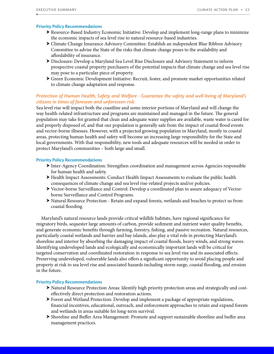#### **Priority Policy Recommendations**

- ▶ Resource-Based Industry Economic Initiative: Develop and implement long-range plans to minimize the economic impacts of sea level rise to natural resource-based industries.
- h Climate Change Insurance Advisory Committee: Establish an independent Blue Ribbon Advisory Committee to advise the State of the risks that climate change poses to the availability and affordability of insurance.
- h Disclosure: Develop a Maryland Sea Level Rise Disclosure and Advisory Statement to inform prospective coastal property purchasers of the potential impacts that climate change and sea level rise may pose to a particular piece of property.
- h Green Economic Development Initiative: Recruit, foster, and promote market opportunities related to climate change adaptation and response.

## *Protection of Human Health, Safety and Welfare - Guarantee the safety and well-being of Maryland's citizens in times of foreseen and unforeseen risk*

Sea level rise will impact both the coastline and some interior portions of Maryland and will change the way health-related infrastructure and programs are maintained and managed in the future. The general population may take for granted that clean and adequate water supplies are available, waste water is cared for and properly disposed of, and that our population is generally safe from the impact of coastal flood events and vector-borne illnesses. However, with a projected growing population in Maryland, mostly in coastal areas, protecting human health and safety will become an increasing large responsibility for the State and local governments. With that responsibility, new tools and adequate resources will be needed in order to protect Maryland's communities – both large and small.

#### **Priority Policy Recommendations**

- $\blacktriangleright$  Inter-Agency Coordination: Strengthen coordination and management across Agencies responsible for human health and safety.
- h Health Impact Assessments: Conduct Health Impact Assessments to evaluate the public health consequences of climate change and sea level rise-related projects and/or policies.
- h Vector-borne Surveillance and Control: Develop a coordinated plan to assure adequacy of Vectorborne Surveillance and Control Programs.
- h Natural Resource Protection Retain and expand forests, wetlands and beaches to protect us from coastal flooding

Maryland's natural resource lands provide critical wildlife habitats, have regional significance for migratory birds, sequester large amounts of carbon, provide sediment and nutrient water quality benefits, and generate economic benefits through farming, forestry, fishing, and passive recreation. Natural resources, particularly coastal wetlands and barrier and bay islands, also play a vital role in protecting Maryland's shoreline and interior by absorbing the damaging impact of coastal floods, heavy winds, and strong waves. Identifying undeveloped lands and ecologically and economically important lands will be critical for targeted conservation and coordinated restoration in response to sea level rise and its associated effects. Preserving undeveloped, vulnerable lands also offers a significant opportunity to avoid placing people and property at risk to sea level rise and associated hazards including storm surge, coastal flooding, and erosion in the future.

#### **Priority Policy Recommendations**

- h Natural Resource Protection Areas: Identify high priority protection areas and strategically and costeffectively direct protection and restoration actions.
- $\triangleright$  Forest and Wetland Protection: Develop and implement a package of appropriate regulations, financial incentives, educational, outreach, and enforcement approaches to retain and expand forests and wetlands in areas suitable for long-term survival.
- h Shoreline and Buffer Area Management: Promote and support sustainable shoreline and buffer area management practices.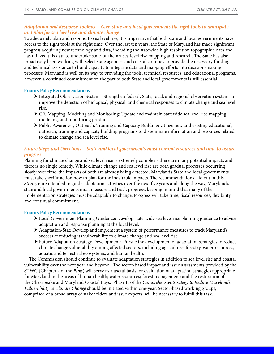## *Adaptation and Response Toolbox – Give State and local governments the right tools to anticipate and plan for sea level rise and climate change*

To adequately plan and respond to sea level rise, it is imperative that both state and local governments have access to the right tools at the right time. Over the last ten years, the State of Maryland has made significant progress acquiring new technology and data, including the statewide high resolution topographic data and has utilized this data to undertake state-of-the-art sea level rise mapping and research. The State has also proactively been working with select state agencies and coastal counties to provide the necessary funding and technical assistance to build capacity to integrate data and mapping efforts into decision-making processes. Maryland is well on its way to providing the tools, technical resources, and educational programs, however, a continued commitment on the part of both State and local governments is still essential.

#### **Priority Policy Recommendations**

- h Integrated Observation Systems: Strengthen federal, State, local, and regional observation systems to improve the detection of biological, physical, and chemical responses to climate change and sea level rise.
- $\triangleright$  GIS Mapping, Modeling and Monitoring: Update and maintain statewide sea level rise mapping, modeling, and monitoring products.
- h Public Awareness, Outreach, Training and Capacity Building: Utilize new and existing educational, outreach, training and capacity building programs to disseminate information and resources related to climate change and sea level rise.

## *Future Steps and Directions – State and local governments must commit resources and time to assure progress*

Planning for climate change and sea level rise is extremely complex - there are many potential impacts and there is no single remedy. While climate change and sea level rise are both gradual processes occurring slowly over time, the impacts of both are already being detected. Maryland's State and local governments must take specific action now to plan for the inevitable impacts. The recommendations laid out in this *Strategy* are intended to guide adaptation activities over the next five years and along the way, Maryland's state and local governments must measure and track progress, keeping in mind that many of the implementation strategies must be adaptable to change. Progress will take time, fiscal resources, flexibility, and continual commitment.

## **Priority Policy Recommendations**

- h Local Government Planning Guidance: Develop state-wide sea level rise planning guidance to advise adaptation and response planning at the local level.
- h Adaptation-Stat: Develop and implement a system of performance measures to track Maryland's success at reducing its vulnerability to climate change and sea level rise.
- h Future Adaptation Strategy Development: Pursue the development of adaptation strategies to reduce climate change vulnerability among affected sectors, including agriculture, forestry, water resources, aquatic and terrestrial ecosystems, and human health.

The Commission should continue to evaluate adaptation strategies in addition to sea level rise and coastal vulnerability over the next year and beyond. The sector-based impact and issue assessments provided by the STWG (Chapter 2 of the *Plan*) will serve as a useful basis for evaluation of adaptation strategies appropriate for Maryland in the areas of human health; water resources; forest management; and the restoration of the Chesapeake and Maryland Coastal Bays. Phase II of the *Comprehensive Strategy to Reduce Maryland's Vulnerability to Climate Change* should be initiated within one-year. Sector-based working groups, comprised of a broad array of stakeholders and issue experts, will be necessary to fulfill this task.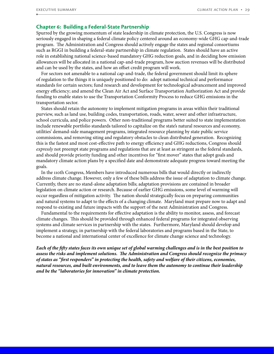## **Chapter 6: Building a Federal-State Partnership**

Spurred by the growing momentum of state leadership in climate protection, the U.S. Congress is now seriously engaged in shaping a federal climate policy centered around an economy-wide GHG cap-and-trade program. The Administration and Congress should actively engage the states and regional consortiums such as RGGI in building a federal-state partnership in climate regulation. States should have an active role in establishing national science-based mandatory GHG reduction goals, and in deciding how emission allowances will be allocated in a national cap-and-trade program, how auction revenues will be distributed and can be used by the states, and how an offset credit program will work.

For sectors not amenable to a national cap-and-trade, the federal government should limit its sphere of regulation to the things it is uniquely positioned to do: adopt national technical and performance standards for certain sectors; fund research and development for technological advancement and improved energy efficiency; and amend the Clean Air Act and Surface Transportation Authorization Act and provide funding to enable states to use the Transportation Conformity Process to reduce GHG emissions in the transportation sector.

States should retain the autonomy to implement mitigation programs in areas within their traditional purview, such as land use, building codes, transportation, roads, water, sewer and other infrastructure, school curricula, and police powers. Other non-traditional programs better suited to state implementation include renewable portfolio standards tailored to capitalize on the state's natural resources and economy, utilities' demand-side management programs, integrated resource planning by state public service commissions, and removing siting and regulatory obstacles to clean distributed generation. Recognizing this is the fastest and most cost-effective path to energy efficiency and GHG reductions, Congress should *expressly* not preempt state programs and regulations that are at least as stringent as the federal standards, and should provide priority funding and other incentives for "first mover" states that adopt goals and mandatory climate action plans by a specified date and demonstrate adequate progress toward meeting the goals.

In the 110th Congress, Members have introduced numerous bills that would directly or indirectly address climate change. However, only a few of these bills address the issue of adaptation to climate change. Currently, there are no stand-alone adaptation bills; adaptation provisions are contained in broader legislation on climate action or research. Because of earlier GHG emissions, some level of warming will occur regardless of mitigation activity. The nation should strategically focus on preparing communities and natural systems to adapt to the effects of a changing climate. Maryland must prepare now to adapt and respond to existing and future impacts with the support of the next Administration and Congress.

Fundamental to the requirements for effective adaptation is the ability to monitor, assess, and forecast climate changes. This should be provided through enhanced federal programs for integrated observing systems and climate services in partnership with the states. Furthermore, Maryland should develop and implement a strategy, in partnership with the federal laboratories and programs based in the State, to become a national and international center of excellence for climate change science and technology.

*Each of the fifty states faces its own unique set of global warming challenges and is in the best position to assess the risks and implement solutions. The Administration and Congress should recognize the primacy of states as "first responders" in protecting the health, safety and welfare of their citizens, economies, natural resources, and built environments, and to leave them the autonomy to continue their leadership and be the "laboratories for innovation" in climate protection.*